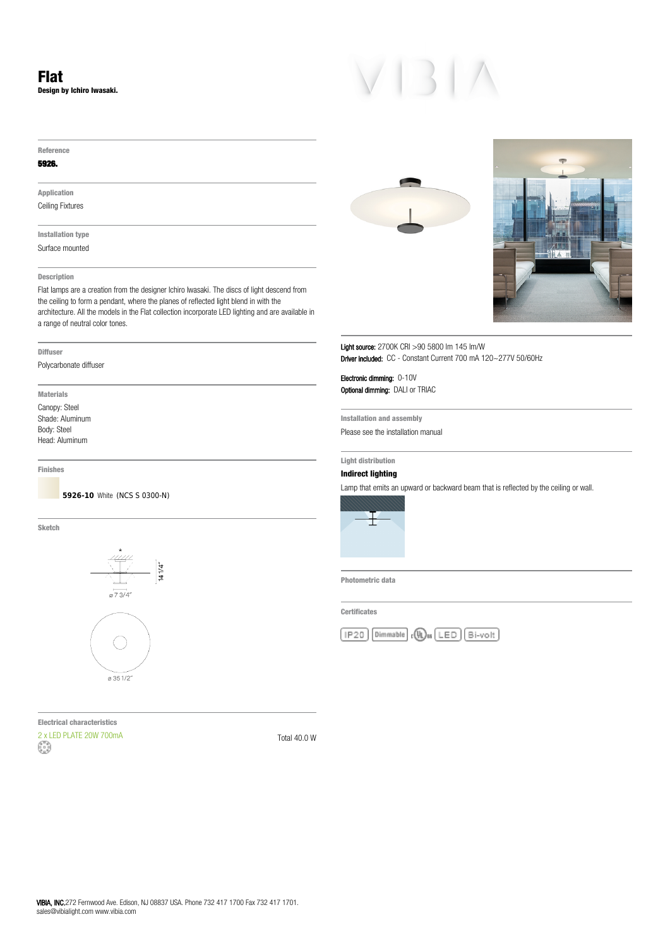**Reference**

### **5926.**

**Application** Ceiling Fixtures

**Installation type** Surface mounted

## **Description**

Flat lamps are a creation from the designer Ichiro Iwasaki. The discs of light descend from the ceiling to form a pendant, where the planes of reflected light blend in with the architecture. All the models in the Flat collection incorporate LED lighting and are available in a range of neutral color tones.

### **Diffuser**

Polycarbonate diffuser

**Materials** Canopy: Steel Shade: Aluminum Body: Steel Head: Aluminum

**Finishes**

**5926-10** White (NCS S 0300-N)

**Sketch**



 $\alpha$  35 1/2

**Electrical characteristics**  $2 \times$  LED PLATE 20W 700mA  $\begin{pmatrix} 2 & 0 \\ 0 & 1 \end{pmatrix}$  Total 40.0 W





Light source: 2700K CRI >90 5800 lm 145 lm/W Driver included: CC - Constant Current 700 mA 120~277V 50/60Hz

Electronic dimming: 0-10V Optional dimming: DALI or TRIAC

**Installation and assembly** Please see the installation manual

## **Light distribution**

# **Indirect lighting**

Lamp that emits an upward or backward beam that is reflected by the ceiling or wall.



**Photometric data**

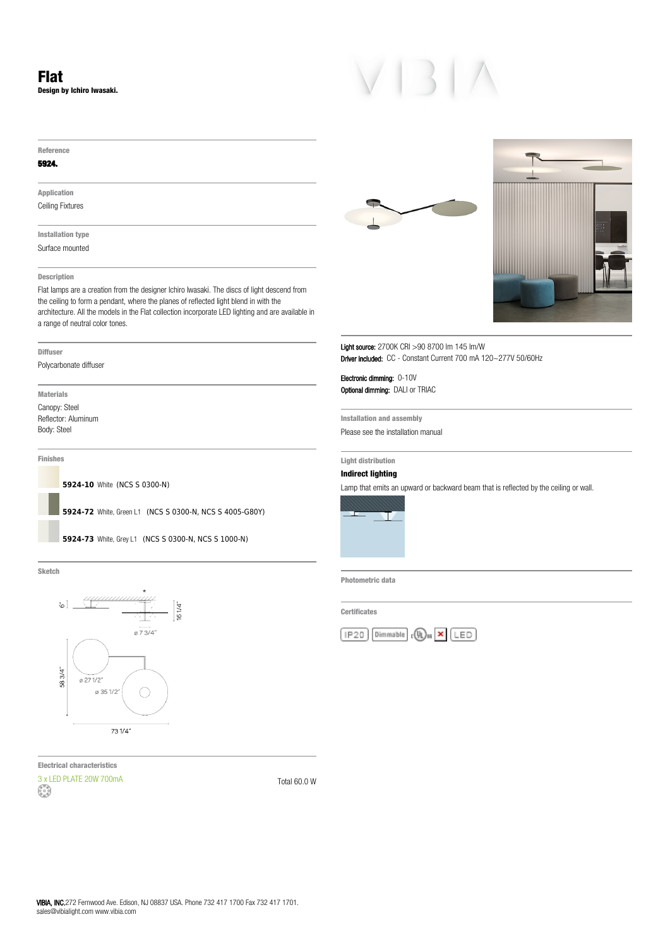**Reference**

### **5924.**

**Application** Ceiling Fixtures

**Installation type** Surface mounted

### **Description**

Flat lamps are a creation from the designer Ichiro Iwasaki. The discs of light descend from the ceiling to form a pendant, where the planes of reflected light blend in with the architecture. All the models in the Flat collection incorporate LED lighting and are available in a range of neutral color tones.

### **Diffuser**

Polycarbonate diffuser

**Materials** Canopy: Steel Reflector: Aluminum Body: Steel

**Finishes**

**5924-10** White (NCS S 0300-N)

**5924-72** White, Green L1 (NCS S 0300-N, NCS S 4005-G80Y)

**5924-73** White, Grey L1 (NCS S 0300-N, NCS S 1000-N)

**Sketch**



**Electrical characteristics** 3 x LED PLATE 20W 700mA<br>
Fotal 60.0 W





Light source: 2700K CRI >90 8700 lm 145 lm/W Driver included: CC - Constant Current 700 mA 120~277V 50/60Hz

Electronic dimming: 0-10V **Optional dimming: DALI or TRIAC** 

**Installation and assembly** Please see the installation manual

## **Light distribution**

# **Indirect lighting**

Lamp that emits an upward or backward beam that is reflected by the ceiling or wall.



**Photometric data**

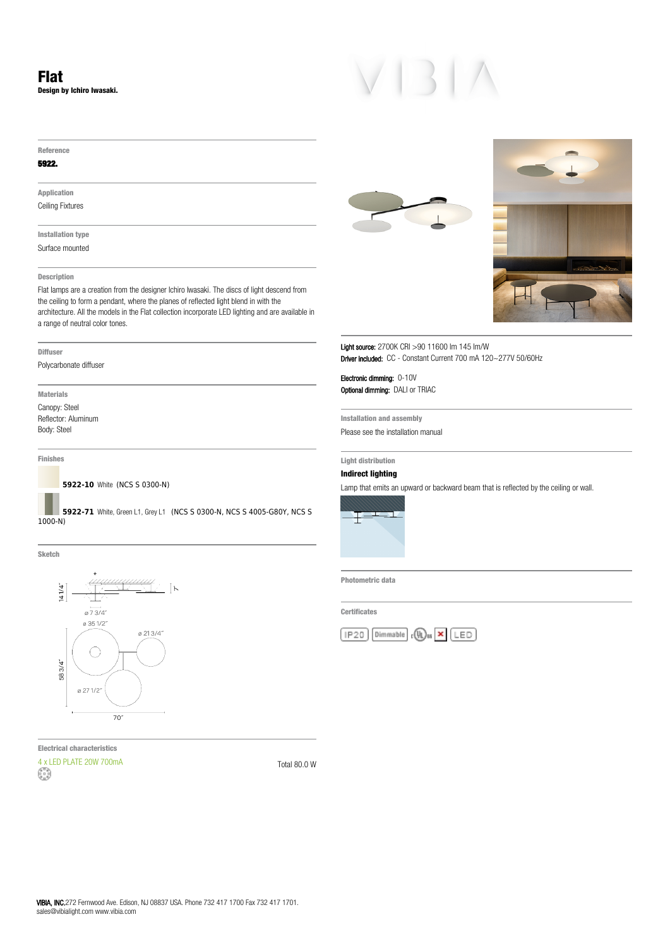**Reference**

### **5922.**

**Application** Ceiling Fixtures

**Installation type** Surface mounted

### **Description**

Flat lamps are a creation from the designer Ichiro Iwasaki. The discs of light descend from the ceiling to form a pendant, where the planes of reflected light blend in with the architecture. All the models in the Flat collection incorporate LED lighting and are available in a range of neutral color tones.

### **Diffuser**

Polycarbonate diffuser

**Materials** Canopy: Steel Reflector: Aluminum Body: Steel

**Finishes**

**5922-10** White (NCS S 0300-N)

**5922-71** White, Green L1, Grey L1 (NCS S 0300-N, NCS S 4005-G80Y, NCS S 1000-N)

**Sketch**



**Electrical characteristics**  $4 \times$  LED PLATE 20W 700mA  $\begin{pmatrix} 2 \ 3 \end{pmatrix}$  Total 80.0 W





Light source: 2700K CRI >90 11600 lm 145 lm/W Driver included: CC - Constant Current 700 mA 120~277V 50/60Hz

Electronic dimming: 0-10V Optional dimming: DALI or TRIAC

**Installation and assembly** Please see the installation manual

## **Light distribution**

# **Indirect lighting**

Lamp that emits an upward or backward beam that is reflected by the ceiling or wall.



**Photometric data**